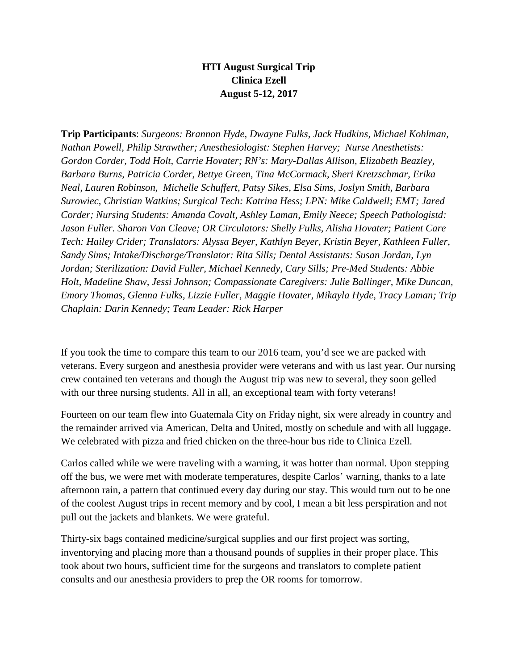## **HTI August Surgical Trip Clinica Ezell August 5-12, 2017**

**Trip Participants**: *Surgeons: Brannon Hyde, Dwayne Fulks, Jack Hudkins, Michael Kohlman, Nathan Powell, Philip Strawther; Anesthesiologist: Stephen Harvey; Nurse Anesthetists: Gordon Corder, Todd Holt, Carrie Hovater; RN's: Mary-Dallas Allison, Elizabeth Beazley, Barbara Burns, Patricia Corder, Bettye Green, Tina McCormack, Sheri Kretzschmar, Erika Neal, Lauren Robinson, Michelle Schuffert, Patsy Sikes, Elsa Sims, Joslyn Smith, Barbara Surowiec, Christian Watkins; Surgical Tech: Katrina Hess; LPN: Mike Caldwell; EMT; Jared Corder; Nursing Students: Amanda Covalt, Ashley Laman, Emily Neece; Speech Pathologistd: Jason Fuller. Sharon Van Cleave; OR Circulators: Shelly Fulks, Alisha Hovater; Patient Care Tech: Hailey Crider; Translators: Alyssa Beyer, Kathlyn Beyer, Kristin Beyer, Kathleen Fuller, Sandy Sims; Intake/Discharge/Translator: Rita Sills; Dental Assistants: Susan Jordan, Lyn Jordan; Sterilization: David Fuller, Michael Kennedy, Cary Sills; Pre-Med Students: Abbie Holt, Madeline Shaw, Jessi Johnson; Compassionate Caregivers: Julie Ballinger, Mike Duncan, Emory Thomas, Glenna Fulks, Lizzie Fuller, Maggie Hovater, Mikayla Hyde, Tracy Laman; Trip Chaplain: Darin Kennedy; Team Leader: Rick Harper*

If you took the time to compare this team to our 2016 team, you'd see we are packed with veterans. Every surgeon and anesthesia provider were veterans and with us last year. Our nursing crew contained ten veterans and though the August trip was new to several, they soon gelled with our three nursing students. All in all, an exceptional team with forty veterans!

Fourteen on our team flew into Guatemala City on Friday night, six were already in country and the remainder arrived via American, Delta and United, mostly on schedule and with all luggage. We celebrated with pizza and fried chicken on the three-hour bus ride to Clinica Ezell.

Carlos called while we were traveling with a warning, it was hotter than normal. Upon stepping off the bus, we were met with moderate temperatures, despite Carlos' warning, thanks to a late afternoon rain, a pattern that continued every day during our stay. This would turn out to be one of the coolest August trips in recent memory and by cool, I mean a bit less perspiration and not pull out the jackets and blankets. We were grateful.

Thirty-six bags contained medicine/surgical supplies and our first project was sorting, inventorying and placing more than a thousand pounds of supplies in their proper place. This took about two hours, sufficient time for the surgeons and translators to complete patient consults and our anesthesia providers to prep the OR rooms for tomorrow.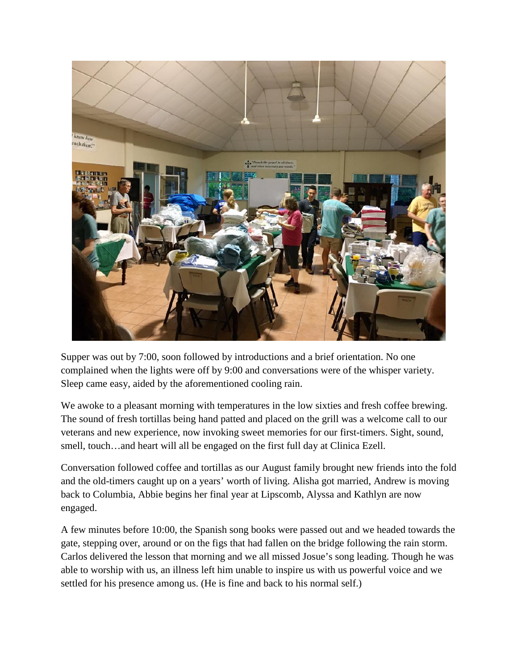

Supper was out by 7:00, soon followed by introductions and a brief orientation. No one complained when the lights were off by 9:00 and conversations were of the whisper variety. Sleep came easy, aided by the aforementioned cooling rain.

We awoke to a pleasant morning with temperatures in the low sixties and fresh coffee brewing. The sound of fresh tortillas being hand patted and placed on the grill was a welcome call to our veterans and new experience, now invoking sweet memories for our first-timers. Sight, sound, smell, touch...and heart will all be engaged on the first full day at Clinica Ezell.

Conversation followed coffee and tortillas as our August family brought new friends into the fold and the old-timers caught up on a years' worth of living. Alisha got married, Andrew is moving back to Columbia, Abbie begins her final year at Lipscomb, Alyssa and Kathlyn are now engaged.

A few minutes before 10:00, the Spanish song books were passed out and we headed towards the gate, stepping over, around or on the figs that had fallen on the bridge following the rain storm. Carlos delivered the lesson that morning and we all missed Josue's song leading. Though he was able to worship with us, an illness left him unable to inspire us with us powerful voice and we settled for his presence among us. (He is fine and back to his normal self.)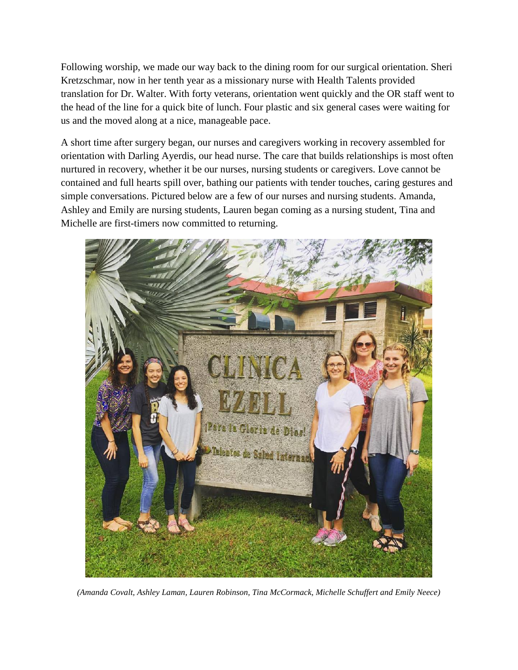Following worship, we made our way back to the dining room for our surgical orientation. Sheri Kretzschmar, now in her tenth year as a missionary nurse with Health Talents provided translation for Dr. Walter. With forty veterans, orientation went quickly and the OR staff went to the head of the line for a quick bite of lunch. Four plastic and six general cases were waiting for us and the moved along at a nice, manageable pace.

A short time after surgery began, our nurses and caregivers working in recovery assembled for orientation with Darling Ayerdis, our head nurse. The care that builds relationships is most often nurtured in recovery, whether it be our nurses, nursing students or caregivers. Love cannot be contained and full hearts spill over, bathing our patients with tender touches, caring gestures and simple conversations. Pictured below are a few of our nurses and nursing students. Amanda, Ashley and Emily are nursing students, Lauren began coming as a nursing student, Tina and Michelle are first-timers now committed to returning.



*(Amanda Covalt, Ashley Laman, Lauren Robinson, Tina McCormack, Michelle Schuffert and Emily Neece)*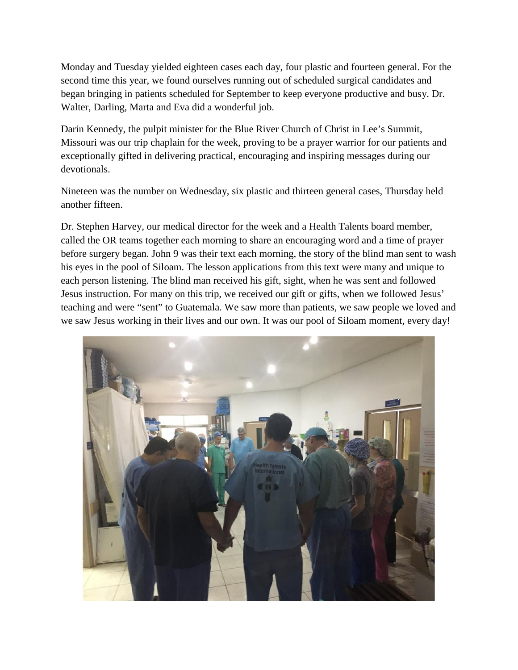Monday and Tuesday yielded eighteen cases each day, four plastic and fourteen general. For the second time this year, we found ourselves running out of scheduled surgical candidates and began bringing in patients scheduled for September to keep everyone productive and busy. Dr. Walter, Darling, Marta and Eva did a wonderful job.

Darin Kennedy, the pulpit minister for the Blue River Church of Christ in Lee's Summit, Missouri was our trip chaplain for the week, proving to be a prayer warrior for our patients and exceptionally gifted in delivering practical, encouraging and inspiring messages during our devotionals.

Nineteen was the number on Wednesday, six plastic and thirteen general cases, Thursday held another fifteen.

Dr. Stephen Harvey, our medical director for the week and a Health Talents board member, called the OR teams together each morning to share an encouraging word and a time of prayer before surgery began. John 9 was their text each morning, the story of the blind man sent to wash his eyes in the pool of Siloam. The lesson applications from this text were many and unique to each person listening. The blind man received his gift, sight, when he was sent and followed Jesus instruction. For many on this trip, we received our gift or gifts, when we followed Jesus' teaching and were "sent" to Guatemala. We saw more than patients, we saw people we loved and we saw Jesus working in their lives and our own. It was our pool of Siloam moment, every day!